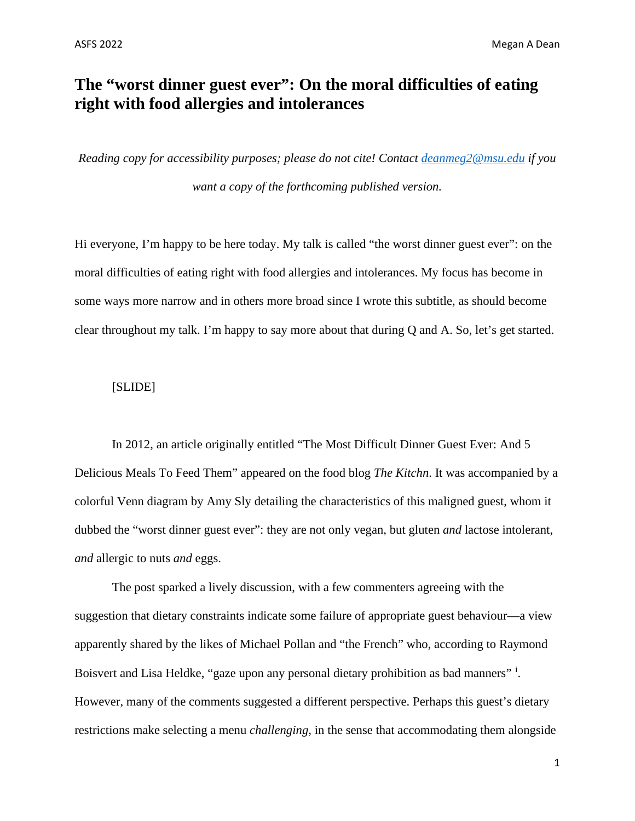# **The "worst dinner guest ever": On the moral difficulties of eating right with food allergies and intolerances**

*Reading copy for accessibility purposes; please do not cite! Contact [deanmeg2@msu.edu](mailto:deanmeg2@msu.edu) if you want a copy of the forthcoming published version.*

Hi everyone, I'm happy to be here today. My talk is called "the worst dinner guest ever": on the moral difficulties of eating right with food allergies and intolerances. My focus has become in some ways more narrow and in others more broad since I wrote this subtitle, as should become clear throughout my talk. I'm happy to say more about that during Q and A. So, let's get started.

# [SLIDE]

In 2012, an article originally entitled "The Most Difficult Dinner Guest Ever: And 5 Delicious Meals To Feed Them" appeared on the food blog *The Kitchn*. It was accompanied by a colorful Venn diagram by Amy Sly detailing the characteristics of this maligned guest, whom it dubbed the "worst dinner guest ever": they are not only vegan, but gluten *and* lactose intolerant, *and* allergic to nuts *and* eggs.

The post sparked a lively discussion, with a few commenters agreeing with the suggestion that dietary constraints indicate some failure of appropriate guest behaviour—a view apparently shared by the likes of Michael Pollan and "the French" who, according to Raymond Bo[i](#page-14-0)svert and Lisa Heldke, "gaze upon any personal dietary prohibition as bad manners" i. However, many of the comments suggested a different perspective. Perhaps this guest's dietary restrictions make selecting a menu *challenging,* in the sense that accommodating them alongside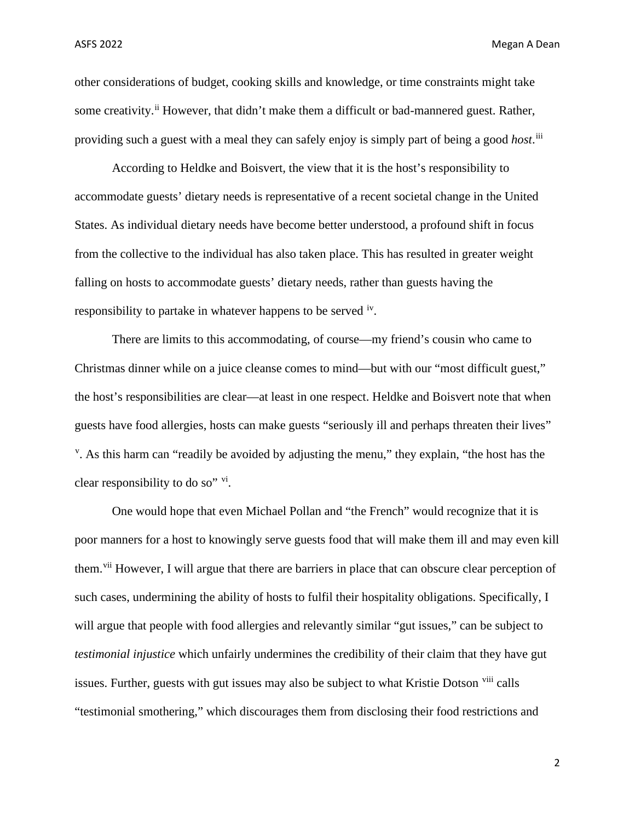other considerations of budget, cooking skills and knowledge, or time constraints might take some creativity.<sup>[ii](#page-14-1)</sup> However, that didn't make them a difficult or bad-mannered guest. Rather, providing such a guest with a meal they can safely enjoy is simply part of being a good *host*. [iii](#page-14-2)

According to Heldke and Boisvert*,* the view that it is the host's responsibility to accommodate guests' dietary needs is representative of a recent societal change in the United States. As individual dietary needs have become better understood, a profound shift in focus from the collective to the individual has also taken place. This has resulted in greater weight falling on hosts to accommodate guests' dietary needs, rather than guests having the responsibility to partake in whatever happens to be served <sup>[iv](#page-14-3)</sup>.

There are limits to this accommodating, of course—my friend's cousin who came to Christmas dinner while on a juice cleanse comes to mind—but with our "most difficult guest," the host's responsibilities are clear—at least in one respect. Heldke and Boisvert note that when guests have food allergies, hosts can make guests "seriously ill and perhaps threaten their lives" <sup>[v](#page-14-4)</sup>. As this harm can "readily be avoided by adjusting the menu," they explain, "the host has the clear responsibility to do so" [vi.](#page-14-5)

One would hope that even Michael Pollan and "the French" would recognize that it is poor manners for a host to knowingly serve guests food that will make them ill and may even kill them.<sup>[vii](#page-14-6)</sup> However, I will argue that there are barriers in place that can obscure clear perception of such cases, undermining the ability of hosts to fulfil their hospitality obligations. Specifically, I will argue that people with food allergies and relevantly similar "gut issues," can be subject to *testimonial injustice* which unfairly undermines the credibility of their claim that they have gut issues. Further, guests with gut issues may also be subject to what Kristie Dotson [viii](#page-14-7) calls "testimonial smothering," which discourages them from disclosing their food restrictions and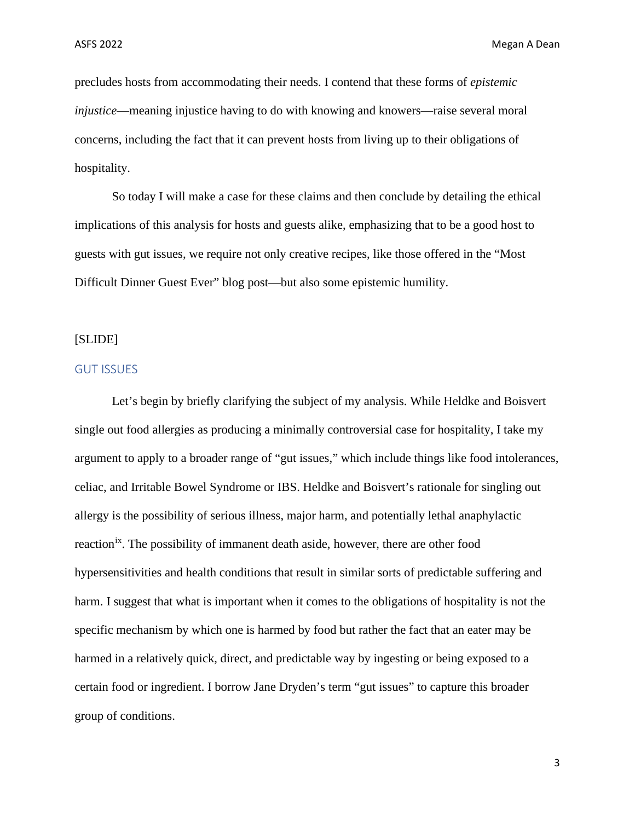precludes hosts from accommodating their needs. I contend that these forms of *epistemic injustice*—meaning injustice having to do with knowing and knowers—raise several moral concerns, including the fact that it can prevent hosts from living up to their obligations of hospitality.

So today I will make a case for these claims and then conclude by detailing the ethical implications of this analysis for hosts and guests alike, emphasizing that to be a good host to guests with gut issues, we require not only creative recipes, like those offered in the "Most Difficult Dinner Guest Ever" blog post—but also some epistemic humility.

# [SLIDE]

#### GUT ISSUES

Let's begin by briefly clarifying the subject of my analysis. While Heldke and Boisvert single out food allergies as producing a minimally controversial case for hospitality, I take my argument to apply to a broader range of "gut issues," which include things like food intolerances, celiac, and Irritable Bowel Syndrome or IBS. Heldke and Boisvert's rationale for singling out allergy is the possibility of serious illness, major harm, and potentially lethal anaphylactic reaction<sup>[ix](#page-14-8)</sup>. The possibility of immanent death aside, however, there are other food hypersensitivities and health conditions that result in similar sorts of predictable suffering and harm. I suggest that what is important when it comes to the obligations of hospitality is not the specific mechanism by which one is harmed by food but rather the fact that an eater may be harmed in a relatively quick, direct, and predictable way by ingesting or being exposed to a certain food or ingredient. I borrow Jane Dryden's term "gut issues" to capture this broader group of conditions.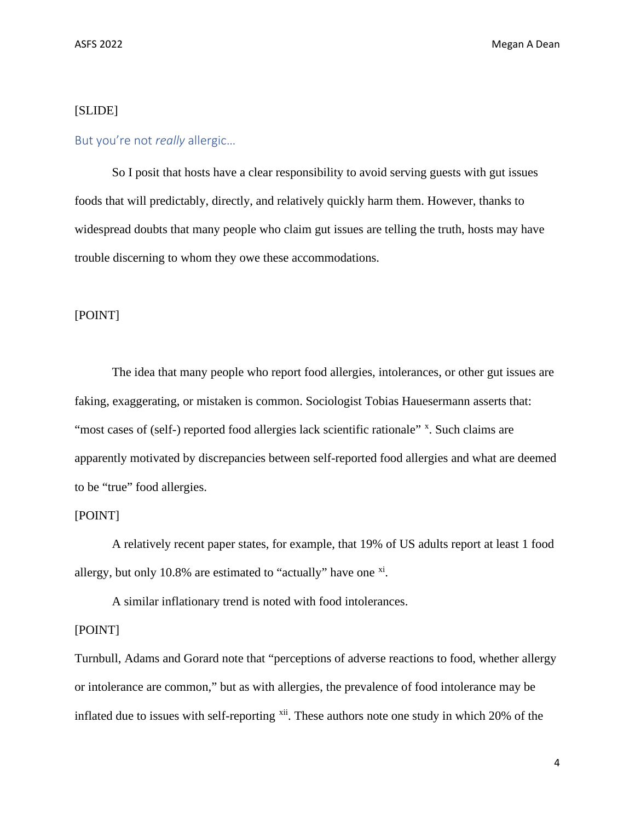# [SLIDE]

# But you're not *really* allergic…

So I posit that hosts have a clear responsibility to avoid serving guests with gut issues foods that will predictably, directly, and relatively quickly harm them. However, thanks to widespread doubts that many people who claim gut issues are telling the truth, hosts may have trouble discerning to whom they owe these accommodations.

# [POINT]

The idea that many people who report food allergies, intolerances, or other gut issues are faking, exaggerating, or mistaken is common. Sociologist Tobias Hauesermann asserts that: "most cases of (self-) reported food allergies lack scientific rationale" [x](#page-14-9). Such claims are apparently motivated by discrepancies between self-reported food allergies and what are deemed to be "true" food allergies.

# [POINT]

A relatively recent paper states, for example, that 19% of US adults report at least 1 food allergy, but only 10.8% are estimated to "actually" have one  $\frac{xi}{n}$  $\frac{xi}{n}$  $\frac{xi}{n}$ .

A similar inflationary trend is noted with food intolerances.

# [POINT]

Turnbull, Adams and Gorard note that "perceptions of adverse reactions to food, whether allergy or intolerance are common," but as with allergies, the prevalence of food intolerance may be inflated due to issues with self-reporting <sup>xii</sup>. These authors note one study in which 20% of the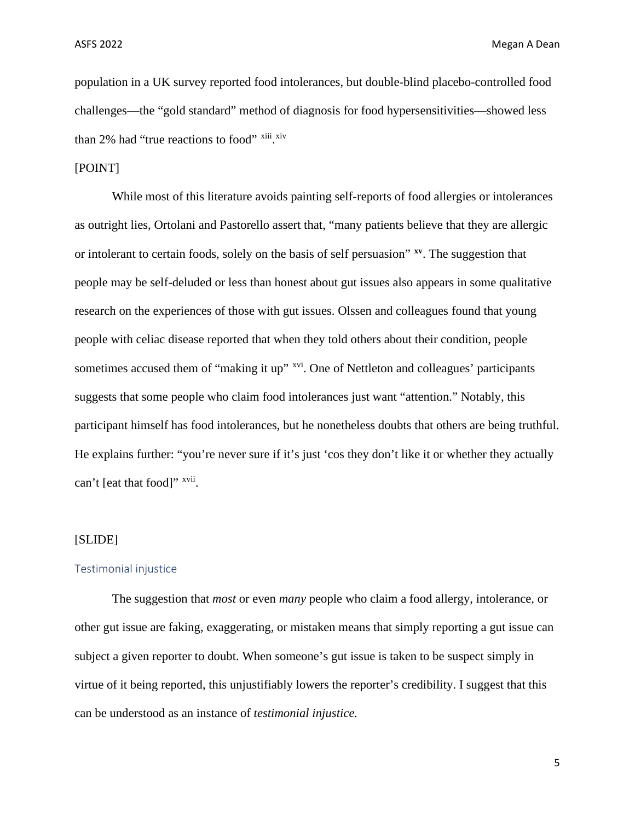population in a UK survey reported food intolerances, but double-blind placebo-controlled food challenges—the "gold standard" method of diagnosis for food hypersensitivities—showed less than 2% had "true reactions to food" [xiii](#page-14-12) [xiv](#page-14-13)

# [POINT]

While most of this literature avoids painting self-reports of food allergies or intolerances as outright lies, Ortolani and Pastorello assert that, "many patients believe that they are allergic or intolerant to certain foods, solely on the basis of self persuasion" **[xv](#page-14-14)**. The suggestion that people may be self-deluded or less than honest about gut issues also appears in some qualitative research on the experiences of those with gut issues. Olssen and colleagues found that young people with celiac disease reported that when they told others about their condition, people sometimes accused them of "making it up" <sup>xvi</sup>. One of Nettleton and colleagues' participants suggests that some people who claim food intolerances just want "attention." Notably, this participant himself has food intolerances, but he nonetheless doubts that others are being truthful. He explains further: "you're never sure if it's just 'cos they don't like it or whether they actually can't [eat that food]" <sup>xvii</sup>.

#### [SLIDE]

#### Testimonial injustice

The suggestion that *most* or even *many* people who claim a food allergy, intolerance, or other gut issue are faking, exaggerating, or mistaken means that simply reporting a gut issue can subject a given reporter to doubt. When someone's gut issue is taken to be suspect simply in virtue of it being reported, this unjustifiably lowers the reporter's credibility. I suggest that this can be understood as an instance of *testimonial injustice.*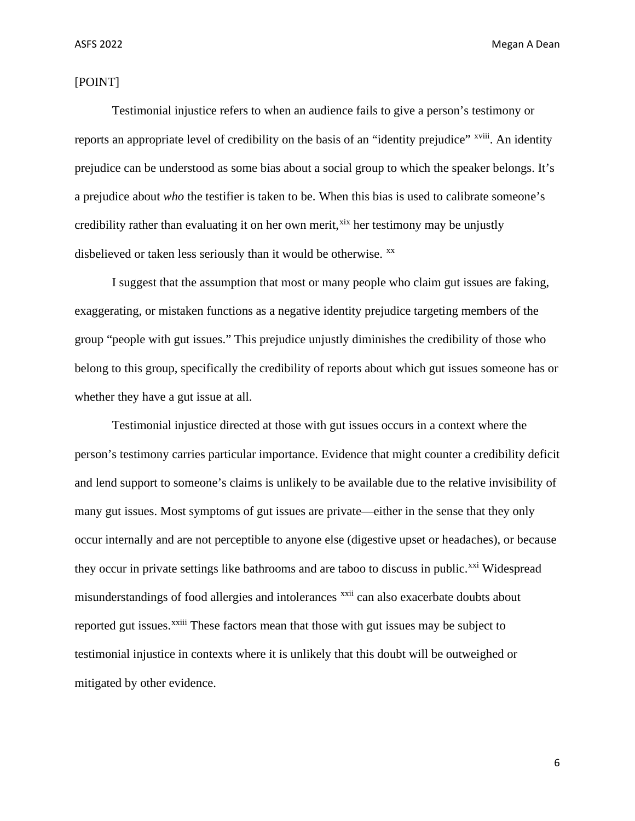# [POINT]

Testimonial injustice refers to when an audience fails to give a person's testimony or reports an appropriate level of credibility on the basis of an "identity prejudice" <sup>xviii</sup>. An identity prejudice can be understood as some bias about a social group to which the speaker belongs. It's a prejudice about *who* the testifier is taken to be. When this bias is used to calibrate someone's credibility rather than evaluating it on her own merit,<sup>[xix](#page-14-18)</sup> her testimony may be unjustly disbelieved or taken less seriously than it would be otherwise.  $^{xx}$  $^{xx}$  $^{xx}$ 

I suggest that the assumption that most or many people who claim gut issues are faking, exaggerating, or mistaken functions as a negative identity prejudice targeting members of the group "people with gut issues." This prejudice unjustly diminishes the credibility of those who belong to this group, specifically the credibility of reports about which gut issues someone has or whether they have a gut issue at all.

Testimonial injustice directed at those with gut issues occurs in a context where the person's testimony carries particular importance. Evidence that might counter a credibility deficit and lend support to someone's claims is unlikely to be available due to the relative invisibility of many gut issues. Most symptoms of gut issues are private—either in the sense that they only occur internally and are not perceptible to anyone else (digestive upset or headaches), or because they occur in private settings like bathrooms and are taboo to discuss in public.<sup>[xxi](#page-14-20)</sup> Widespread reported gut [i](#page-14-22)ssues.<sup>xxiii</sup> These factors mean that those with gut issues may be subject to misunderstandings of food allergies and intolerances <sup>[xxii](#page-14-21)</sup> can also exacerbate doubts about testimonial injustice in contexts where it is unlikely that this doubt will be outweighed or mitigated by other evidence.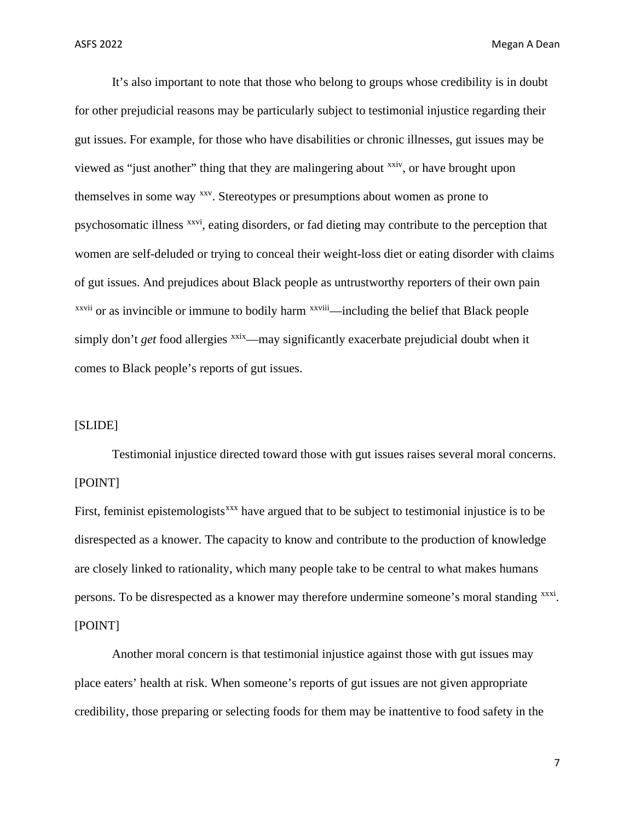It's also important to note that those who belong to groups whose credibility is in doubt for other prejudicial reasons may be particularly subject to testimonial injustice regarding their gut issues. For example, for those who have disabilities or chronic illnesses, gut issues may be viewed as "just another" thing that they are malingering about <sup>[xxiv](#page-14-23)</sup>, or have brought upon  $x$ <sup>xxv[i](#page-14-26)i</sup> or as invincible or immune to bodily harm  $x$ <sup>xxviii</sup>[—i](#page-14-27)ncluding the belief that Black people themselves in some way [xxv.](#page-14-24) Stereotypes or presumptions about women as prone to psychosomatic illness [xxvi](#page-14-25), eating disorders, or fad dieting may contribute to the perception that women are self-deluded or trying to conceal their weight-loss diet or eating disorder with claims of gut issues. And prejudices about Black people as untrustworthy reporters of their own pain simply don't *get* food allergies [xxix](#page-15-0)—may significantly exacerbate prejudicial doubt when it comes to Black people's reports of gut issues.

# [SLIDE]

Testimonial injustice directed toward those with gut issues raises several moral concerns. [POINT]

First, feminist epistemologists<sup>[xxx](#page-15-1)</sup> have argued that to be subject to testimonial injustice is to be disrespected as a knower. The capacity to know and contribute to the production of knowledge are closely linked to rationality, which many people take to be central to what makes humans persons. To be disrespected as a knower may therefore undermine someone's moral standing [xxxi](#page-15-2). [POINT]

Another moral concern is that testimonial injustice against those with gut issues may place eaters' health at risk. When someone's reports of gut issues are not given appropriate credibility, those preparing or selecting foods for them may be inattentive to food safety in the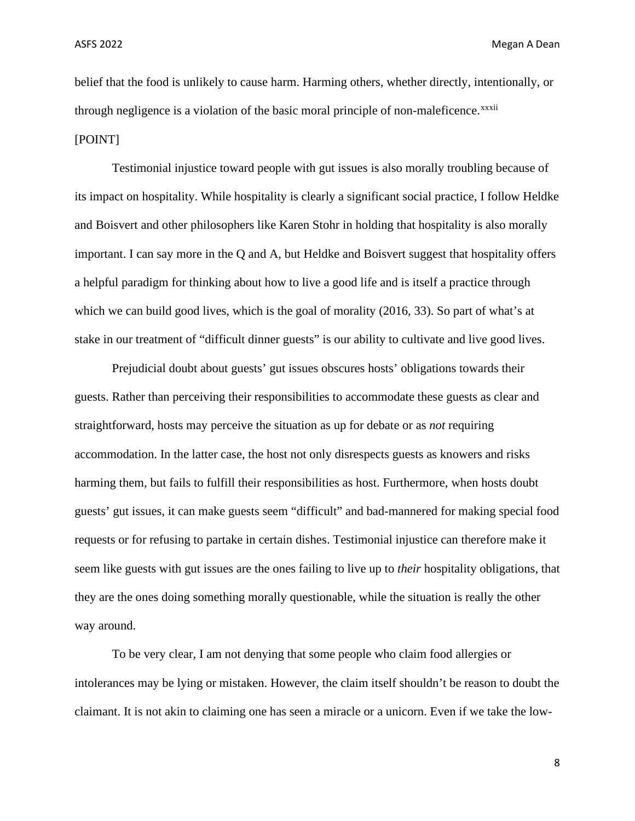belief that the food is unlikely to cause harm. Harming others, whether directly, intentionally, or through negl[i](#page-15-3)gence is a violation of the basic moral principle of non-maleficence.<sup>xxxii</sup> [POINT]

Testimonial injustice toward people with gut issues is also morally troubling because of its impact on hospitality. While hospitality is clearly a significant social practice, I follow Heldke and Boisvert and other philosophers like Karen Stohr in holding that hospitality is also morally important. I can say more in the Q and A, but Heldke and Boisvert suggest that hospitality offers a helpful paradigm for thinking about how to live a good life and is itself a practice through which we can build good lives, which is the goal of morality (2016, 33). So part of what's at stake in our treatment of "difficult dinner guests" is our ability to cultivate and live good lives.

Prejudicial doubt about guests' gut issues obscures hosts' obligations towards their guests. Rather than perceiving their responsibilities to accommodate these guests as clear and straightforward, hosts may perceive the situation as up for debate or as *not* requiring accommodation. In the latter case, the host not only disrespects guests as knowers and risks harming them, but fails to fulfill their responsibilities as host. Furthermore, when hosts doubt guests' gut issues, it can make guests seem "difficult" and bad-mannered for making special food requests or for refusing to partake in certain dishes. Testimonial injustice can therefore make it seem like guests with gut issues are the ones failing to live up to *their* hospitality obligations, that they are the ones doing something morally questionable, while the situation is really the other way around.

To be very clear, I am not denying that some people who claim food allergies or intolerances may be lying or mistaken. However, the claim itself shouldn't be reason to doubt the claimant. It is not akin to claiming one has seen a miracle or a unicorn. Even if we take the low-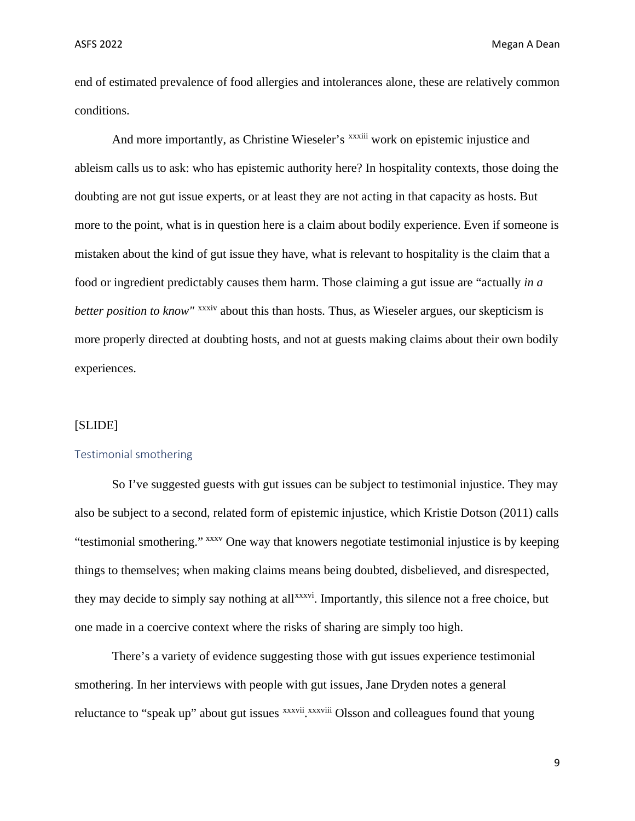end of estimated prevalence of food allergies and intolerances alone, these are relatively common conditions.

And more [i](#page-15-4)mportantly, as Christine Wieseler's xxxiii work on epistemic injustice and *better position to know"* <sup>xxxiv</sup> [a](#page-15-5)bout this than hosts. Thus, as Wieseler argues, our skepticism is ableism calls us to ask: who has epistemic authority here? In hospitality contexts, those doing the doubting are not gut issue experts, or at least they are not acting in that capacity as hosts. But more to the point, what is in question here is a claim about bodily experience. Even if someone is mistaken about the kind of gut issue they have, what is relevant to hospitality is the claim that a food or ingredient predictably causes them harm. Those claiming a gut issue are "actually *in a*  more properly directed at doubting hosts, and not at guests making claims about their own bodily experiences.

# [SLIDE]

#### Testimonial smothering

So I've suggested guests with gut issues can be subject to testimonial injustice. They may also be subject to a second, related form of epistemic injustice, which Kristie Dotson (2011) calls "testimonial smothering." [xxxv](#page-15-6) One way that knowers negotiate testimonial injustice is by keeping they may decide to simply say nothing at all<sup>xxxvi</sup>[.](#page-15-7) Importantly, this silence not a free choice, but things to themselves; when making claims means being doubted, disbelieved, and disrespected, one made in a coercive context where the risks of sharing are simply too high.

There's a variety of evidence suggesting those with gut issues experience testimonial smothering. In her interviews with people with gut issues, Jane Dryden notes a general reluctance to "speak up" about gut [i](#page-15-9)ssues xxxvii xxxviii Olsson and colleagues found that young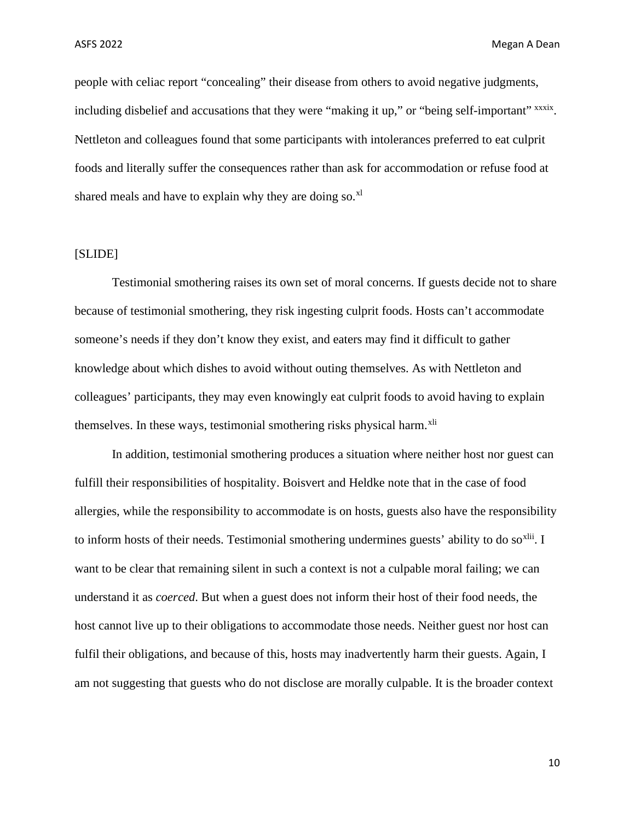people with celiac report "concealing" their disease from others to avoid negative judgments, including disbelief and accusations that they were "making it up," or "being self-important" xxxix[.](#page-15-10) Nettleton and colleagues found that some participants with intolerances preferred to eat culprit foods and literally suffer the consequences rather than ask for accommodation or refuse food at shared meals and have to explain why they are doing so. $x<sup>1</sup>$ 

# [SLIDE]

Testimonial smothering raises its own set of moral concerns. If guests decide not to share because of testimonial smothering, they risk ingesting culprit foods. Hosts can't accommodate someone's needs if they don't know they exist, and eaters may find it difficult to gather knowledge about which dishes to avoid without outing themselves. As with Nettleton and colleagues' participants, they may even knowingly eat culprit foods to avoid having to explain themselves. In these ways, testimonial smothering risks physical harm.<sup>[xli](#page-15-12)</sup>

In addition, testimonial smothering produces a situation where neither host nor guest can fulfill their responsibilities of hospitality. Boisvert and Heldke note that in the case of food allergies, while the responsibility to accommodate is on hosts, guests also have the responsibility to inform hosts of their needs. Testimonial smothering undermines guests' ability to do so $^{xlii}$  $^{xlii}$  $^{xlii}$ . I want to be clear that remaining silent in such a context is not a culpable moral failing; we can understand it as *coerced*. But when a guest does not inform their host of their food needs, the host cannot live up to their obligations to accommodate those needs. Neither guest nor host can fulfil their obligations, and because of this, hosts may inadvertently harm their guests. Again, I am not suggesting that guests who do not disclose are morally culpable. It is the broader context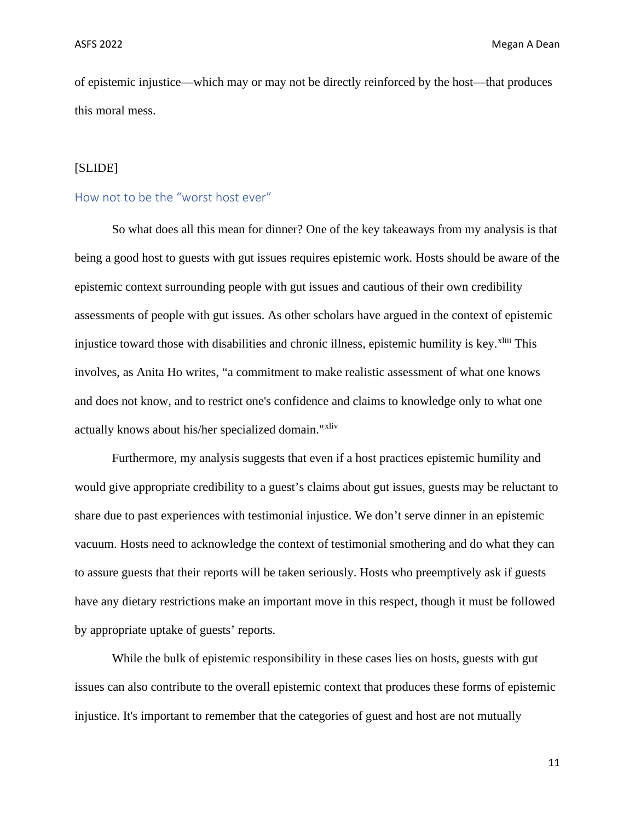of epistemic injustice—which may or may not be directly reinforced by the host—that produces this moral mess.

# [SLIDE]

# How not to be the "worst host ever"

So what does all this mean for dinner? One of the key takeaways from my analysis is that being a good host to guests with gut issues requires epistemic work. Hosts should be aware of the epistemic context surrounding people with gut issues and cautious of their own credibility assessments of people with gut issues. As other scholars have argued in the context of epistemic [i](#page-15-14)njustice toward those with disabilities and chronic illness, epistemic humility is key. xliii This involves, as Anita Ho writes, "a commitment to make realistic assessment of what one knows and does not know, and to restrict one's confidence and claims to knowledge only to what one actually knows about his/her specialized domain."<sup>[xliv](#page-15-15)</sup>

Furthermore, my analysis suggests that even if a host practices epistemic humility and would give appropriate credibility to a guest's claims about gut issues, guests may be reluctant to share due to past experiences with testimonial injustice. We don't serve dinner in an epistemic vacuum. Hosts need to acknowledge the context of testimonial smothering and do what they can to assure guests that their reports will be taken seriously. Hosts who preemptively ask if guests have any dietary restrictions make an important move in this respect, though it must be followed by appropriate uptake of guests' reports.

While the bulk of epistemic responsibility in these cases lies on hosts, guests with gut issues can also contribute to the overall epistemic context that produces these forms of epistemic injustice. It's important to remember that the categories of guest and host are not mutually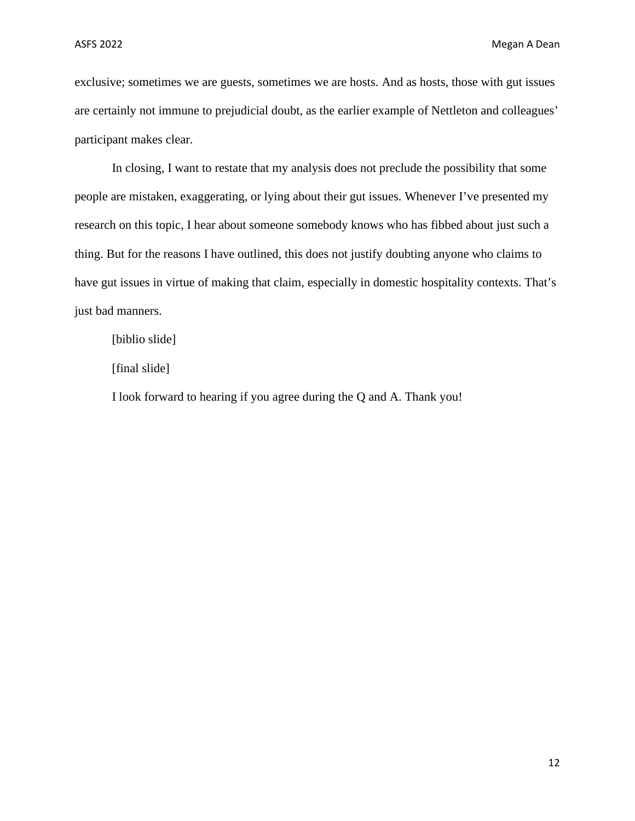exclusive; sometimes we are guests, sometimes we are hosts. And as hosts, those with gut issues are certainly not immune to prejudicial doubt, as the earlier example of Nettleton and colleagues' participant makes clear.

In closing, I want to restate that my analysis does not preclude the possibility that some people are mistaken, exaggerating, or lying about their gut issues. Whenever I've presented my research on this topic, I hear about someone somebody knows who has fibbed about just such a thing. But for the reasons I have outlined, this does not justify doubting anyone who claims to have gut issues in virtue of making that claim, especially in domestic hospitality contexts. That's just bad manners.

[biblio slide]

[final slide]

I look forward to hearing if you agree during the Q and A. Thank you!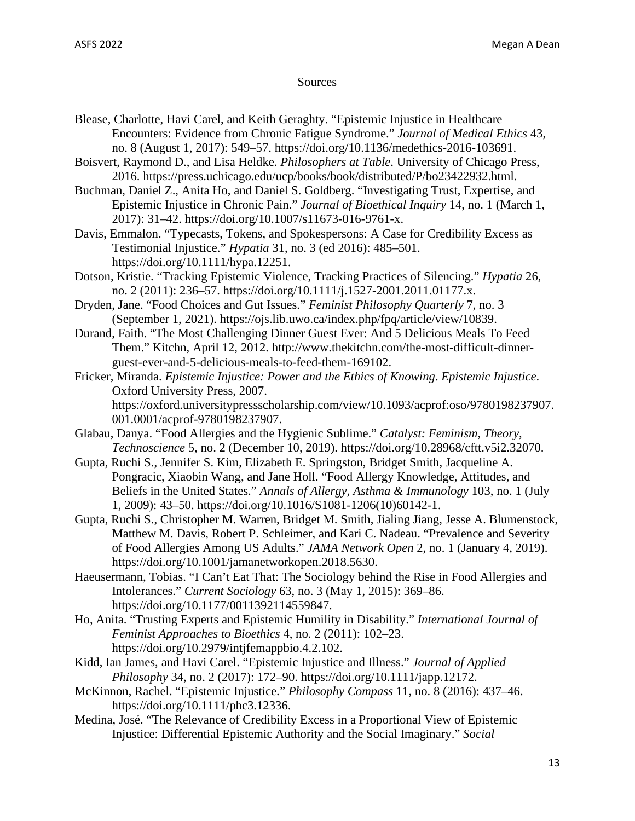# Sources

- Blease, Charlotte, Havi Carel, and Keith Geraghty. "Epistemic Injustice in Healthcare Encounters: Evidence from Chronic Fatigue Syndrome." *Journal of Medical Ethics* 43, no. 8 (August 1, 2017): 549–57. https://doi.org/10.1136/medethics-2016-103691.
- Boisvert, Raymond D., and Lisa Heldke. *Philosophers at Table*. University of Chicago Press, 2016. https://press.uchicago.edu/ucp/books/book/distributed/P/bo23422932.html.
- Buchman, Daniel Z., Anita Ho, and Daniel S. Goldberg. "Investigating Trust, Expertise, and Epistemic Injustice in Chronic Pain." *Journal of Bioethical Inquiry* 14, no. 1 (March 1, 2017): 31–42. https://doi.org/10.1007/s11673-016-9761-x.

Davis, Emmalon. "Typecasts, Tokens, and Spokespersons: A Case for Credibility Excess as Testimonial Injustice." *Hypatia* 31, no. 3 (ed 2016): 485–501. https://doi.org/10.1111/hypa.12251.

- Dotson, Kristie. "Tracking Epistemic Violence, Tracking Practices of Silencing." *Hypatia* 26, no. 2 (2011): 236–57. https://doi.org/10.1111/j.1527-2001.2011.01177.x.
- Dryden, Jane. "Food Choices and Gut Issues." *Feminist Philosophy Quarterly* 7, no. 3 (September 1, 2021). https://ojs.lib.uwo.ca/index.php/fpq/article/view/10839.
- Durand, Faith. "The Most Challenging Dinner Guest Ever: And 5 Delicious Meals To Feed Them." Kitchn, April 12, 2012. http://www.thekitchn.com/the-most-difficult-dinnerguest-ever-and-5-delicious-meals-to-feed-them-169102.
- Fricker, Miranda. *Epistemic Injustice: Power and the Ethics of Knowing*. *Epistemic Injustice*. Oxford University Press, 2007. https://oxford.universitypressscholarship.com/view/10.1093/acprof:oso/9780198237907. 001.0001/acprof-9780198237907.
- Glabau, Danya. "Food Allergies and the Hygienic Sublime." *Catalyst: Feminism, Theory, Technoscience* 5, no. 2 (December 10, 2019). https://doi.org/10.28968/cftt.v5i2.32070.
- Gupta, Ruchi S., Jennifer S. Kim, Elizabeth E. Springston, Bridget Smith, Jacqueline A. Pongracic, Xiaobin Wang, and Jane Holl. "Food Allergy Knowledge, Attitudes, and Beliefs in the United States." *Annals of Allergy, Asthma & Immunology* 103, no. 1 (July 1, 2009): 43–50. https://doi.org/10.1016/S1081-1206(10)60142-1.
- Gupta, Ruchi S., Christopher M. Warren, Bridget M. Smith, Jialing Jiang, Jesse A. Blumenstock, Matthew M. Davis, Robert P. Schleimer, and Kari C. Nadeau. "Prevalence and Severity of Food Allergies Among US Adults." *JAMA Network Open* 2, no. 1 (January 4, 2019). https://doi.org/10.1001/jamanetworkopen.2018.5630.
- Haeusermann, Tobias. "I Can't Eat That: The Sociology behind the Rise in Food Allergies and Intolerances." *Current Sociology* 63, no. 3 (May 1, 2015): 369–86. https://doi.org/10.1177/0011392114559847.
- Ho, Anita. "Trusting Experts and Epistemic Humility in Disability." *International Journal of Feminist Approaches to Bioethics* 4, no. 2 (2011): 102–23. https://doi.org/10.2979/intjfemappbio.4.2.102.
- Kidd, Ian James, and Havi Carel. "Epistemic Injustice and Illness." *Journal of Applied Philosophy* 34, no. 2 (2017): 172–90. https://doi.org/10.1111/japp.12172.
- McKinnon, Rachel. "Epistemic Injustice." *Philosophy Compass* 11, no. 8 (2016): 437–46. https://doi.org/10.1111/phc3.12336.
- Medina, José. "The Relevance of Credibility Excess in a Proportional View of Epistemic Injustice: Differential Epistemic Authority and the Social Imaginary." *Social*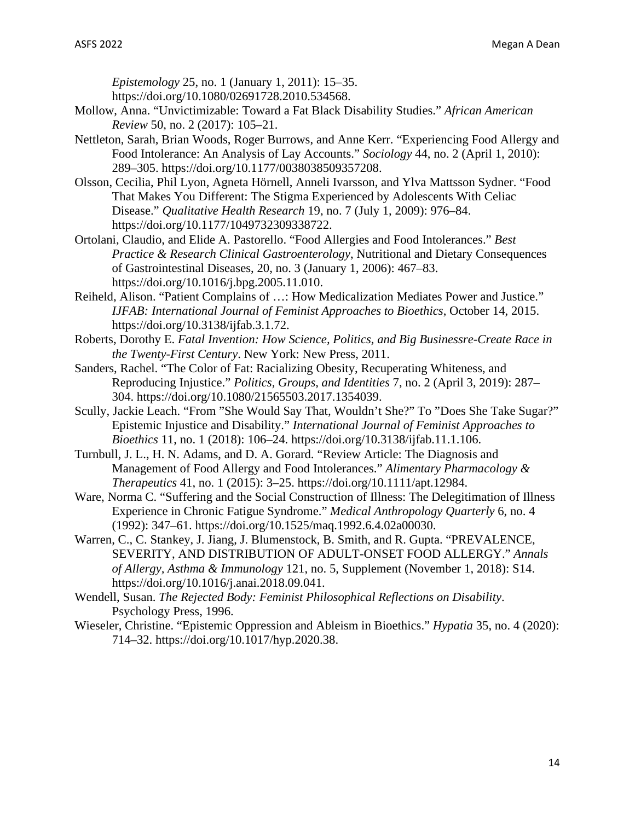*Epistemology* 25, no. 1 (January 1, 2011): 15–35. https://doi.org/10.1080/02691728.2010.534568.

- Mollow, Anna. "Unvictimizable: Toward a Fat Black Disability Studies." *African American Review* 50, no. 2 (2017): 105–21.
- Nettleton, Sarah, Brian Woods, Roger Burrows, and Anne Kerr. "Experiencing Food Allergy and Food Intolerance: An Analysis of Lay Accounts." *Sociology* 44, no. 2 (April 1, 2010): 289–305. https://doi.org/10.1177/0038038509357208.
- Olsson, Cecilia, Phil Lyon, Agneta Hörnell, Anneli Ivarsson, and Ylva Mattsson Sydner. "Food That Makes You Different: The Stigma Experienced by Adolescents With Celiac Disease." *Qualitative Health Research* 19, no. 7 (July 1, 2009): 976–84. https://doi.org/10.1177/1049732309338722.
- Ortolani, Claudio, and Elide A. Pastorello. "Food Allergies and Food Intolerances." *Best Practice & Research Clinical Gastroenterology*, Nutritional and Dietary Consequences of Gastrointestinal Diseases, 20, no. 3 (January 1, 2006): 467–83. https://doi.org/10.1016/j.bpg.2005.11.010.
- Reiheld, Alison. "Patient Complains of …: How Medicalization Mediates Power and Justice." *IJFAB: International Journal of Feminist Approaches to Bioethics*, October 14, 2015. https://doi.org/10.3138/ijfab.3.1.72.
- Roberts, Dorothy E. *Fatal Invention: How Science, Politics, and Big Businessre-Create Race in the Twenty-First Century*. New York: New Press, 2011.
- Sanders, Rachel. "The Color of Fat: Racializing Obesity, Recuperating Whiteness, and Reproducing Injustice." *Politics, Groups, and Identities* 7, no. 2 (April 3, 2019): 287– 304. https://doi.org/10.1080/21565503.2017.1354039.
- Scully, Jackie Leach. "From "She Would Say That, Wouldn't She?" To "Does She Take Sugar?" Epistemic Injustice and Disability." *International Journal of Feminist Approaches to Bioethics* 11, no. 1 (2018): 106–24. https://doi.org/10.3138/ijfab.11.1.106.
- Turnbull, J. L., H. N. Adams, and D. A. Gorard. "Review Article: The Diagnosis and Management of Food Allergy and Food Intolerances." *Alimentary Pharmacology & Therapeutics* 41, no. 1 (2015): 3–25. https://doi.org/10.1111/apt.12984.
- Ware, Norma C. "Suffering and the Social Construction of Illness: The Delegitimation of Illness Experience in Chronic Fatigue Syndrome." *Medical Anthropology Quarterly* 6, no. 4 (1992): 347–61. https://doi.org/10.1525/maq.1992.6.4.02a00030.
- Warren, C., C. Stankey, J. Jiang, J. Blumenstock, B. Smith, and R. Gupta. "PREVALENCE, SEVERITY, AND DISTRIBUTION OF ADULT-ONSET FOOD ALLERGY." *Annals of Allergy, Asthma & Immunology* 121, no. 5, Supplement (November 1, 2018): S14. https://doi.org/10.1016/j.anai.2018.09.041.
- Wendell, Susan. *The Rejected Body: Feminist Philosophical Reflections on Disability*. Psychology Press, 1996.
- Wieseler, Christine. "Epistemic Oppression and Ableism in Bioethics." *Hypatia* 35, no. 4 (2020): 714–32. https://doi.org/10.1017/hyp.2020.38.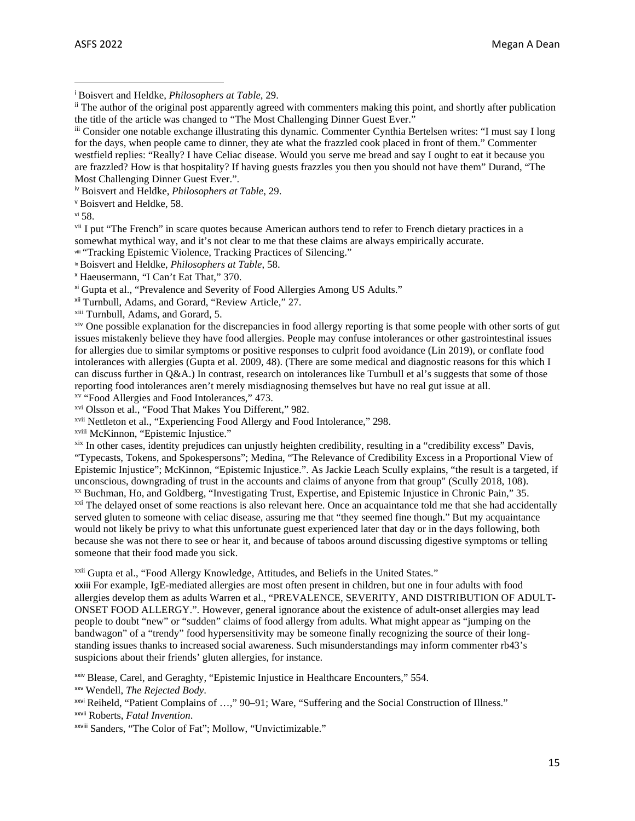<span id="page-14-3"></span>iv Boisvert and Heldke, *Philosophers at Table*, 29.

<span id="page-14-4"></span><sup>v</sup> Boisvert and Heldke, 58.

<span id="page-14-5"></span>vi 58.

<span id="page-14-6"></span><sup>vii</sup> I put "The French" in scare quotes because American authors tend to refer to French dietary practices in a somewhat mythical way, and it's not clear to me that these claims are always empirically accurate.

<span id="page-14-7"></span>viii "Tracking Epistemic Violence, Tracking Practices of Silencing."

<span id="page-14-8"></span>ix Boisvert and Heldke, *Philosophers at Table*, 58.

<span id="page-14-9"></span><sup>x</sup> Haeusermann, "I Can't Eat That," 370.

<span id="page-14-10"></span>xi Gupta et al., "Prevalence and Severity of Food Allergies Among US Adults."

<span id="page-14-11"></span>xii Turnbull, Adams, and Gorard, "Review Article," 27.

<span id="page-14-12"></span>xiii Turnbull, Adams, and Gorard, 5.

<span id="page-14-13"></span>xiv One possible explanation for the discrepancies in food allergy reporting is that some people with other sorts of gut issues mistakenly believe they have food allergies. People may confuse intolerances or other gastrointestinal issues for allergies due to similar symptoms or positive responses to culprit food avoidance (Lin 2019), or conflate food intolerances with allergies (Gupta et al. 2009, 48). (There are some medical and diagnostic reasons for this which I can discuss further in Q&A.) In contrast, research on intolerances like Turnbull et al's suggests that some of those reporting food intolerances aren't merely misdiagnosing themselves but have no real gut issue at all. xv "Food Allergies and Food Intolerances," 473.

<span id="page-14-15"></span><span id="page-14-14"></span>xvi Olsson et al., "Food That Makes You Different," 982.

<span id="page-14-16"></span>xvii Nettleton et al., "Experiencing Food Allergy and Food Intolerance," 298.

<span id="page-14-17"></span>xviii McKinnon, "Epistemic Injustice."

<span id="page-14-18"></span>xix In other cases, identity prejudices can unjustly heighten credibility, resulting in a "credibility excess" Davis, "Typecasts, Tokens, and Spokespersons"; Medina, "The Relevance of Credibility Excess in a Proportional View of Epistemic Injustice"; McKinnon, "Epistemic Injustice.". As Jackie Leach Scully explains, "the result is a targeted, if unconscious, downgrading of trust in the accounts and claims of anyone from that group" (Scully 2018, 108).

<span id="page-14-20"></span><span id="page-14-19"></span>xx Buchman, Ho, and Goldberg, "Investigating Trust, Expertise, and Epistemic Injustice in Chronic Pain," 35. <sup>xxi</sup> The delayed onset of some reactions is also relevant here. Once an acquaintance told me that she had accidentally served gluten to someone with celiac disease, assuring me that "they seemed fine though." But my acquaintance would not likely be privy to what this unfortunate guest experienced later that day or in the days following, both because she was not there to see or hear it, and because of taboos around discussing digestive symptoms or telling someone that their food made you sick.

<span id="page-14-21"></span>xxii Gupta et al., "Food Allergy Knowledge, Attitudes, and Beliefs in the United States."

<span id="page-14-22"></span>xxiii For example, IgE-mediated allergies are most often present in children, but one in four adults with food allergies develop them as adults Warren et al., "PREVALENCE, SEVERITY, AND DISTRIBUTION OF ADULT-ONSET FOOD ALLERGY.". However, general ignorance about the existence of adult-onset allergies may lead people to doubt "new" or "sudden" claims of food allergy from adults. What might appear as "jumping on the bandwagon" of a "trendy" food hypersensitivity may be someone finally recognizing the source of their longstanding issues thanks to increased social awareness. Such misunderstandings may inform commenter rb43's suspicions about their friends' gluten allergies, for instance.

<span id="page-14-23"></span>xxiv Blease, Carel, and Geraghty, "Epistemic Injustice in Healthcare Encounters," 554.

<span id="page-14-24"></span>xxv Wendell, *The Rejected Body*.

<span id="page-14-26"></span>xxvii Roberts, *Fatal Invention*.

<span id="page-14-27"></span>xxviii Sanders, "The Color of Fat"; Mollow, "Unvictimizable."

<span id="page-14-0"></span><sup>i</sup> Boisvert and Heldke, *Philosophers at Table*, 29.

<span id="page-14-1"></span><sup>&</sup>lt;sup>ii</sup> The author of the original post apparently agreed with commenters making this point, and shortly after publication the title of the article was changed to "The Most Challenging Dinner Guest Ever."

<span id="page-14-2"></span>iii Consider one notable exchange illustrating this dynamic. Commenter Cynthia Bertelsen writes: "I must say I long for the days, when people came to dinner, they ate what the frazzled cook placed in front of them." Commenter westfield replies: "Really? I have Celiac disease. Would you serve me bread and say I ought to eat it because you are frazzled? How is that hospitality? If having guests frazzles you then you should not have them" Durand, "The Most Challenging Dinner Guest Ever.".

<span id="page-14-25"></span>xxvi Reiheld, "Patient Complains of …," 90–91; Ware, "Suffering and the Social Construction of Illness."